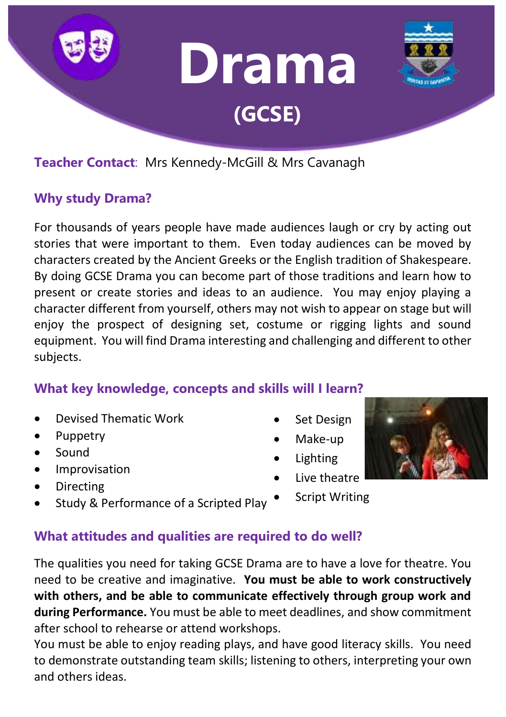

# **Teacher Contact**: Mrs Kennedy-McGill & Mrs Cavanagh

### **Why study Drama?**

For thousands of years people have made audiences laugh or cry by acting out stories that were important to them. Even today audiences can be moved by characters created by the Ancient Greeks or the English tradition of Shakespeare. By doing GCSE Drama you can become part of those traditions and learn how to present or create stories and ideas to an audience. You may enjoy playing a character different from yourself, others may not wish to appear on stage but will enjoy the prospect of designing set, costume or rigging lights and sound equipment. You will find Drama interesting and challenging and different to other subjects.

## **What key knowledge, concepts and skills will I learn?**

- Devised Thematic Work
- Puppetry
- Sound
- Improvisation
- Directing
- Study & Performance of a Scripted Play
- Set Design
- Make-up
- **Lighting**
- Live theatre
- Script Writing



**What attitudes and qualities are required to do well?**

The qualities you need for taking GCSE Drama are to have a love for theatre. You need to be creative and imaginative. **You must be able to work constructively with others, and be able to communicate effectively through group work and during Performance.** You must be able to meet deadlines, and show commitment after school to rehearse or attend workshops.

You must be able to enjoy reading plays, and have good literacy skills. You need to demonstrate outstanding team skills; listening to others, interpreting your own and others ideas.